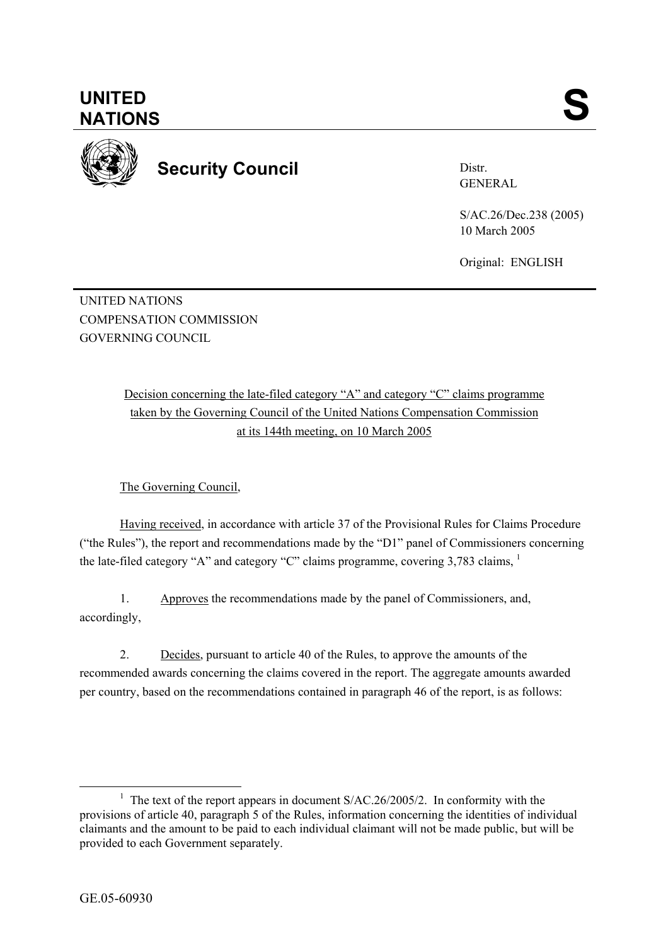

**Security Council** 

Distr. GENERAL

S/AC.26/Dec.238 (2005) 10 March 2005

Original: ENGLISH

UNITED NATIONS COMPENSATION COMMISSION GOVERNING COUNCIL

> Decision concerning the late-filed category "A" and category "C" claims programme taken by the Governing Council of the United Nations Compensation Commission at its 144th meeting, on 10 March 2005

The Governing Council,

Having received, in accordance with article 37 of the Provisional Rules for Claims Procedure ("the Rules"), the report and recommendations made by the "D1" panel of Commissioners concerning the late-filed category "A" and category "C" claims programme, covering 3.783 claims.<sup>1</sup>

1. Approves the recommendations made by the panel of Commissioners, and, accordingly,

2. Decides, pursuant to article 40 of the Rules, to approve the amounts of the recommended awards concerning the claims covered in the report. The aggregate amounts awarded per country, based on the recommendations contained in paragraph 46 of the report, is as follows:

<sup>&</sup>lt;u>1</u> <sup>1</sup> The text of the report appears in document  $S/AC.26/2005/2$ . In conformity with the provisions of article 40, paragraph 5 of the Rules, information concerning the identities of individual claimants and the amount to be paid to each individual claimant will not be made public, but will be provided to each Government separately.